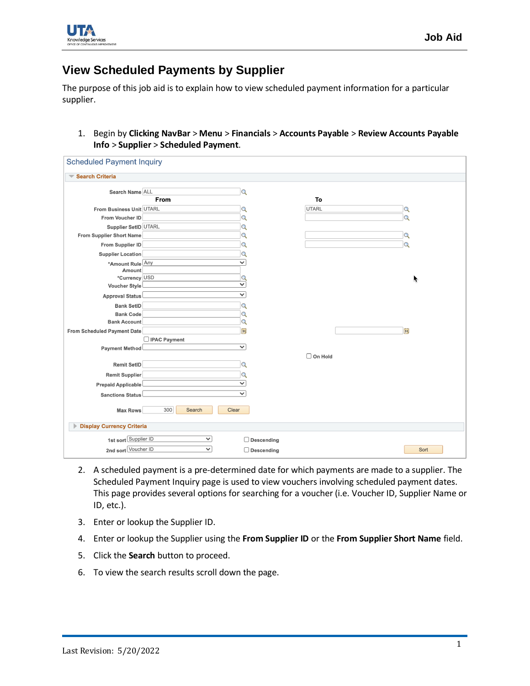



## **View Scheduled Payments by Supplier**

The purpose of this job aid is to explain how to view scheduled payment information for a particular supplier.

1. Begin by **Clicking NavBar** > **Menu** > **Financials** > **Accounts Payable** > **Review Accounts Payable Info** > **Supplier** > **Scheduled Payment**.

| <b>Scheduled Payment Inquiry</b>                                     |                          |
|----------------------------------------------------------------------|--------------------------|
| Search Criteria                                                      |                          |
| Search Name ALL<br>$\alpha$                                          |                          |
| From                                                                 | To                       |
| From Business Unit UTARL<br>Q                                        | <b>UTARL</b><br>$\alpha$ |
| From Voucher ID<br>Q                                                 | $\alpha$                 |
| Supplier SetID UTARL<br>Q                                            |                          |
| Q<br>From Supplier Short Name                                        | $\overline{Q}$           |
| Q<br>From Supplier ID                                                | $\overline{Q}$           |
| <b>Supplier Location</b><br>Q                                        |                          |
| ▽<br>*Amount Rule Any                                                |                          |
| Amount                                                               |                          |
| *Currency USD<br>Q<br>$\checkmark$<br><b>Voucher Style</b>           | V                        |
| $\checkmark$                                                         |                          |
| <b>Approval Status</b>                                               |                          |
| $\overline{Q}$<br><b>Bank SetID</b>                                  |                          |
| <b>Bank Code</b><br>Q<br>$\alpha$<br><b>Bank Account</b>             |                          |
| BU<br>From Scheduled Payment Date                                    | E                        |
| □ IPAC Payment                                                       |                          |
| $\checkmark$<br>Payment Method                                       |                          |
|                                                                      | $\Box$ On Hold           |
| Remit SetID<br>$\alpha$                                              |                          |
| Remit Supplier<br>Q                                                  |                          |
| $\checkmark$<br>Prepaid Applicable                                   |                          |
| $\overline{\mathsf{v}}$<br><b>Sanctions Status</b>                   |                          |
|                                                                      |                          |
| 300<br>Search<br>Clear<br><b>Max Rows</b>                            |                          |
| <b>Display Currency Criteria</b>                                     |                          |
| 1st sort Supplier ID<br>$\overline{\mathsf{v}}$<br>$\Box$ Descending |                          |
| 2nd sort Voucher ID<br>$\checkmark$<br>$\Box$ Descending             | Sort                     |
|                                                                      |                          |

- 2. A scheduled payment is a pre-determined date for which payments are made to a supplier. The Scheduled Payment Inquiry page is used to view vouchers involving scheduled payment dates. This page provides several options for searching for a voucher (i.e. Voucher ID, Supplier Name or ID, etc.).
- 3. Enter or lookup the Supplier ID.
- 4. Enter or lookup the Supplier using the **From Supplier ID** or the **From Supplier Short Name** field.
- 5. Click the **Search** button to proceed.
- 6. To view the search results scroll down the page.